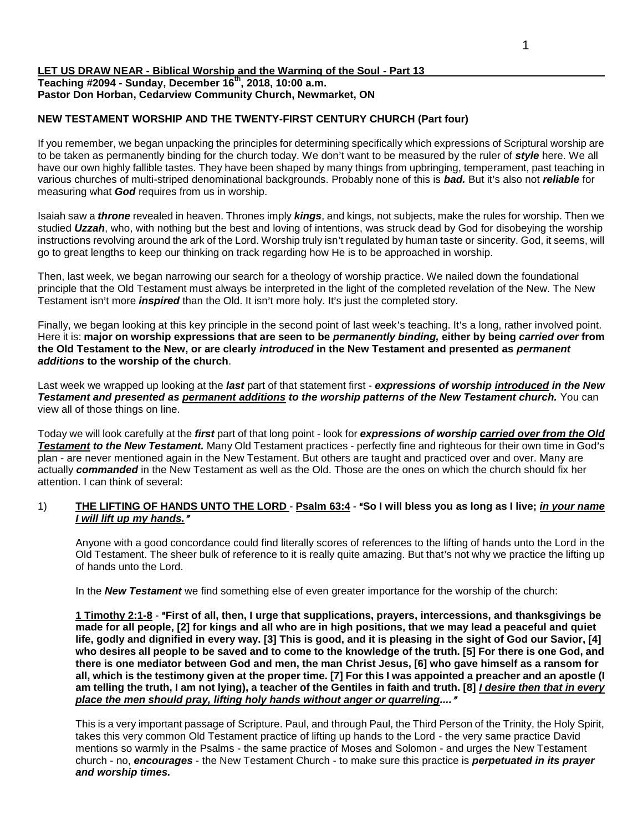### **LET US DRAW NEAR - Biblical Worship and the Warming of the Soul - Part 13 Teaching #2094 - Sunday, December 16th, 2018, 10:00 a.m. Pastor Don Horban, Cedarview Community Church, Newmarket, ON**

## **NEW TESTAMENT WORSHIP AND THE TWENTY-FIRST CENTURY CHURCH (Part four)**

If you remember, we began unpacking the principles for determining specifically which expressions of Scriptural worship are to be taken as permanently binding for the church today. We don't want to be measured by the ruler of *style* here. We all have our own highly fallible tastes. They have been shaped by many things from upbringing, temperament, past teaching in various churches of multi-striped denominational backgrounds. Probably none of this is **bad.** But it's also not *reliable* for measuring what *God* requires from us in worship.

Isaiah saw a *throne* revealed in heaven. Thrones imply *kings*, and kings, not subjects, make the rules for worship. Then we studied *Uzzah*, who, with nothing but the best and loving of intentions, was struck dead by God for disobeying the worship instructions revolving around the ark of the Lord. Worship truly isn't regulated by human taste or sincerity. God, it seems, will go to great lengths to keep our thinking on track regarding how He is to be approached in worship.

Then, last week, we began narrowing our search for a theology of worship practice. We nailed down the foundational principle that the Old Testament must always be interpreted in the light of the completed revelation of the New. The New Testament isn't more *inspired* than the Old. It isn't more holy. It's just the completed story.

Finally, we began looking at this key principle in the second point of last week's teaching. It's a long, rather involved point. Here it is: **major on worship expressions that are seen to be** *permanently binding,* **either by being** *carried over* **from the Old Testament to the New, or are clearly** *introduced* **in the New Testament and presented as** *permanent additions* **to the worship of the church**.

Last week we wrapped up looking at the *last* part of that statement first - *expressions of worship introduced in the New Testament and presented as permanent additions to the worship patterns of the New Testament church.* You can view all of those things on line.

Today we will look carefully at the *first* part of that long point - look for *expressions of worship carried over from the Old*  **Testament to the New Testament.** Many Old Testament practices - perfectly fine and righteous for their own time in God's plan - are never mentioned again in the New Testament. But others are taught and practiced over and over. Many are actually *commanded* in the New Testament as well as the Old. Those are the ones on which the church should fix her attention. I can think of several:

# 1) **THE LIFTING OF HANDS UNTO THE LORD** - **Psalm 63:4** - "So I will bless you as long as I live; *in your name I will lift up my hands.*@

Anyone with a good concordance could find literally scores of references to the lifting of hands unto the Lord in the Old Testament. The sheer bulk of reference to it is really quite amazing. But that's not why we practice the lifting up of hands unto the Lord.

In the *New Testament* we find something else of even greater importance for the worship of the church:

**1 Timothy 2:1-8** - A**First of all, then, I urge that supplications, prayers, intercessions, and thanksgivings be made for all people, [2] for kings and all who are in high positions, that we may lead a peaceful and quiet life, godly and dignified in every way. [3] This is good, and it is pleasing in the sight of God our Savior, [4] who desires all people to be saved and to come to the knowledge of the truth. [5] For there is one God, and there is one mediator between God and men, the man Christ Jesus, [6] who gave himself as a ransom for all, which is the testimony given at the proper time. [7] For this I was appointed a preacher and an apostle (I am telling the truth, I am not lying), a teacher of the Gentiles in faith and truth. [8]** *I desire then that in every*  place the men should pray, lifting holy hands without anger or quarreling...."

This is a very important passage of Scripture. Paul, and through Paul, the Third Person of the Trinity, the Holy Spirit, takes this very common Old Testament practice of lifting up hands to the Lord - the very same practice David mentions so warmly in the Psalms - the same practice of Moses and Solomon - and urges the New Testament church - no, *encourages* - the New Testament Church - to make sure this practice is *perpetuated in its prayer and worship times.*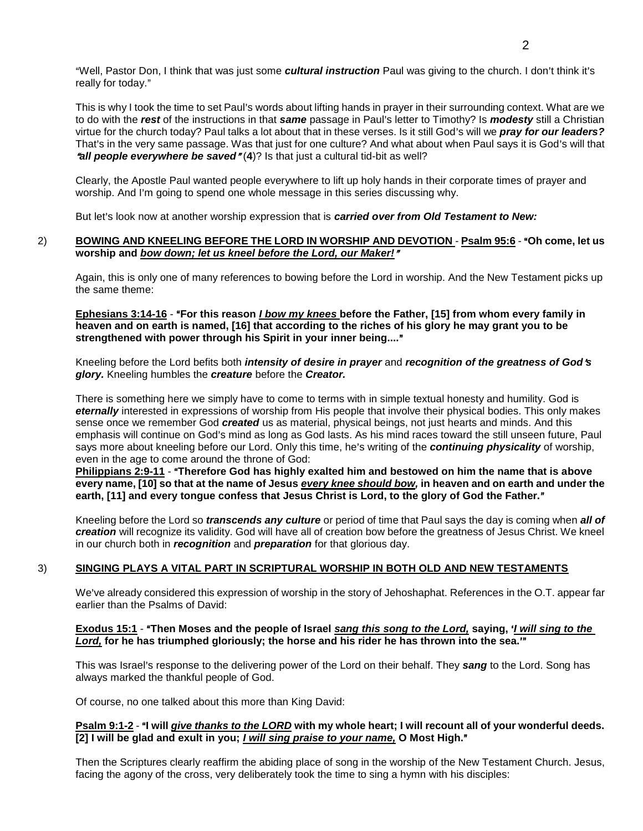"Well, Pastor Don, I think that was just some *cultural instruction* Paul was giving to the church. I don't think it's really for today."

This is why I took the time to set Paul's words about lifting hands in prayer in their surrounding context. What are we to do with the **rest** of the instructions in that *same* passage in Paul's letter to Timothy? Is *modesty* still a Christian virtue for the church today? Paul talks a lot about that in these verses. Is it still God's will we *pray for our leaders?* That's in the very same passage. Was that just for one culture? And what about when Paul says it is God's will that *All people everywhere be saved* "(4)? Is that just a cultural tid-bit as well?

Clearly, the Apostle Paul wanted people everywhere to lift up holy hands in their corporate times of prayer and worship. And I'm going to spend one whole message in this series discussing why.

But let's look now at another worship expression that is *carried over from Old Testament to New:* 

#### 2) **BOWING AND KNEELING BEFORE THE LORD IN WORSHIP AND DEVOTION - Psalm 95:6 - "Oh come, let us <b>Protestyle and A** worship and *bow down; let us kneel before the Lord, our Maker!"*

Again, this is only one of many references to bowing before the Lord in worship. And the New Testament picks up the same theme:

**Ephesians 3:14-16 - "For this reason** *I bow my knees* **before the Father, [15] from whom every family in heaven and on earth is named, [16] that according to the riches of his glory he may grant you to be**  strengthened with power through his Spirit in your inner being...."

Kneeling before the Lord befits both *intensity of desire in prayer* and *recognition of the greatness of God's glory.* Kneeling humbles the *creature* before the *Creator.*

There is something here we simply have to come to terms with in simple textual honesty and humility. God is *eternally* interested in expressions of worship from His people that involve their physical bodies. This only makes sense once we remember God *created* us as material, physical beings, not just hearts and minds. And this emphasis will continue on God's mind as long as God lasts. As his mind races toward the still unseen future. Paul says more about kneeling before our Lord. Only this time, he's writing of the **continuing physicality** of worship, even in the age to come around the throne of God:

**Philippians 2:9-11 - "Therefore God has highly exalted him and bestowed on him the name that is above every name, [10] so that at the name of Jesus** *every knee should bow,* **in heaven and on earth and under the**  earth, [11] and every tongue confess that Jesus Christ is Lord, to the glory of God the Father."

Kneeling before the Lord so *transcends any culture* or period of time that Paul says the day is coming when *all of creation* will recognize its validity. God will have all of creation bow before the greatness of Jesus Christ. We kneel in our church both in *recognition* and *preparation* for that glorious day.

### 3) **SINGING PLAYS A VITAL PART IN SCRIPTURAL WORSHIP IN BOTH OLD AND NEW TESTAMENTS**

We've already considered this expression of worship in the story of Jehoshaphat. References in the O.T. appear far earlier than the Psalms of David:

### **Exodus 15:1** - "Then Moses and the people of Israel *sang this song to the Lord*, saying, *'I will sing to the* **Lord,** for he has triumphed gloriously; the horse and his rider he has thrown into the sea.<sup>10</sup>

This was Israel's response to the delivering power of the Lord on their behalf. They *sang* to the Lord. Song has always marked the thankful people of God.

Of course, no one talked about this more than King David:

### **Psalm 9:1-2 - "I will give thanks to the LORD with my whole heart; I will recount all of your wonderful deeds.** [2] I will be glad and exult in you; *I will sing praise to your name*, O Most High."

Then the Scriptures clearly reaffirm the abiding place of song in the worship of the New Testament Church. Jesus, facing the agony of the cross, very deliberately took the time to sing a hymn with his disciples: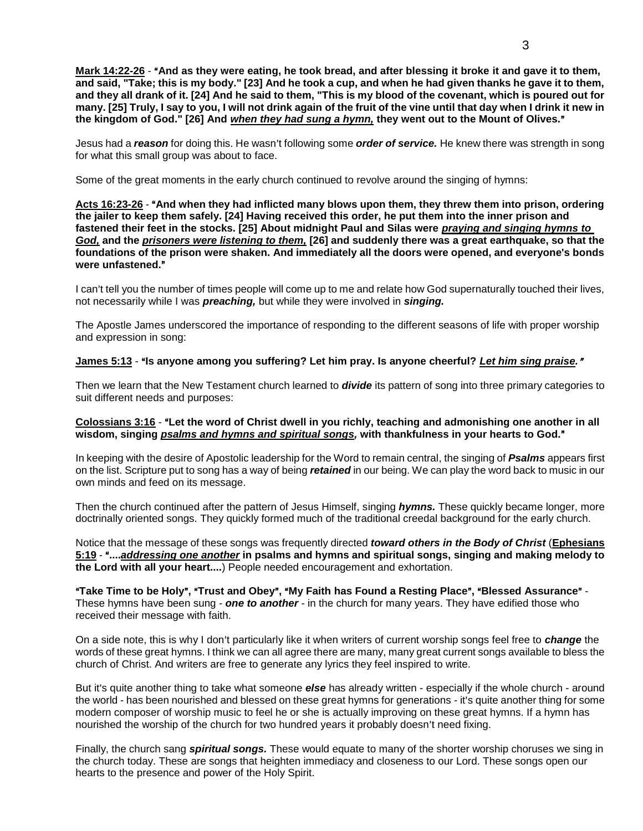**Mark 14:22-26** - "And as they were eating, he took bread, and after blessing it broke it and gave it to them, **and said, "Take; this is my body." [23] And he took a cup, and when he had given thanks he gave it to them, and they all drank of it. [24] And he said to them, "This is my blood of the covenant, which is poured out for many. [25] Truly, I say to you, I will not drink again of the fruit of the vine until that day when I drink it new in**  the kingdom of God." [26] And *when they had sung a hymn*, they went out to the Mount of Olives."

Jesus had a *reason* for doing this. He wasn't following some *order of service*. He knew there was strength in song for what this small group was about to face.

Some of the great moments in the early church continued to revolve around the singing of hymns:

#### Acts 16:23-26 - "And when they had inflicted many blows upon them, they threw them into prison, ordering **the jailer to keep them safely. [24] Having received this order, he put them into the inner prison and fastened their feet in the stocks. [25] About midnight Paul and Silas were** *praying and singing hymns to God,* **and the** *prisoners were listening to them,* **[26] and suddenly there was a great earthquake, so that the foundations of the prison were shaken. And immediately all the doors were opened, and everyone's bonds**  were unfastened."

I can't tell you the number of times people will come up to me and relate how God supernaturally touched their lives, not necessarily while I was *preaching,* but while they were involved in *singing.*

The Apostle James underscored the importance of responding to the different seasons of life with proper worship and expression in song:

# **James 5:13** - "Is anyone among you suffering? Let him pray. Is anyone cheerful? Let him sing praise."

Then we learn that the New Testament church learned to *divide* its pattern of song into three primary categories to suit different needs and purposes:

## Colossians 3:16 - "Let the word of Christ dwell in you richly, teaching and admonishing one another in all wisdom, singing *psalms and hymns and spiritual songs*, with thankfulness in your hearts to God."

In keeping with the desire of Apostolic leadership for the Word to remain central, the singing of *Psalms* appears first on the list. Scripture put to song has a way of being *retained* in our being. We can play the word back to music in our own minds and feed on its message.

Then the church continued after the pattern of Jesus Himself, singing *hymns.* These quickly became longer, more doctrinally oriented songs. They quickly formed much of the traditional creedal background for the early church.

Notice that the message of these songs was frequently directed *toward others in the Body of Christ* (**Ephesians 5:19** - A**....***addressing one another* **in psalms and hymns and spiritual songs, singing and making melody to the Lord with all your heart....**) People needed encouragement and exhortation.

A**Take Time to be Holy**@**,** A**Trust and Obey**@**,** A**My Faith has Found a Resting Place**@**,** A**Blessed Assurance**@ - These hymns have been sung - *one to another* - in the church for many years. They have edified those who received their message with faith.

On a side note, this is why I don't particularly like it when writers of current worship songs feel free to *change* the words of these great hymns. I think we can all agree there are many, many great current songs available to bless the church of Christ. And writers are free to generate any lyrics they feel inspired to write.

But it's quite another thing to take what someone *else* has already written - especially if the whole church - around the world - has been nourished and blessed on these great hymns for generations - it's quite another thing for some modern composer of worship music to feel he or she is actually improving on these great hymns. If a hymn has nourished the worship of the church for two hundred years it probably doesn't need fixing.

Finally, the church sang *spiritual songs.* These would equate to many of the shorter worship choruses we sing in the church today. These are songs that heighten immediacy and closeness to our Lord. These songs open our hearts to the presence and power of the Holy Spirit.